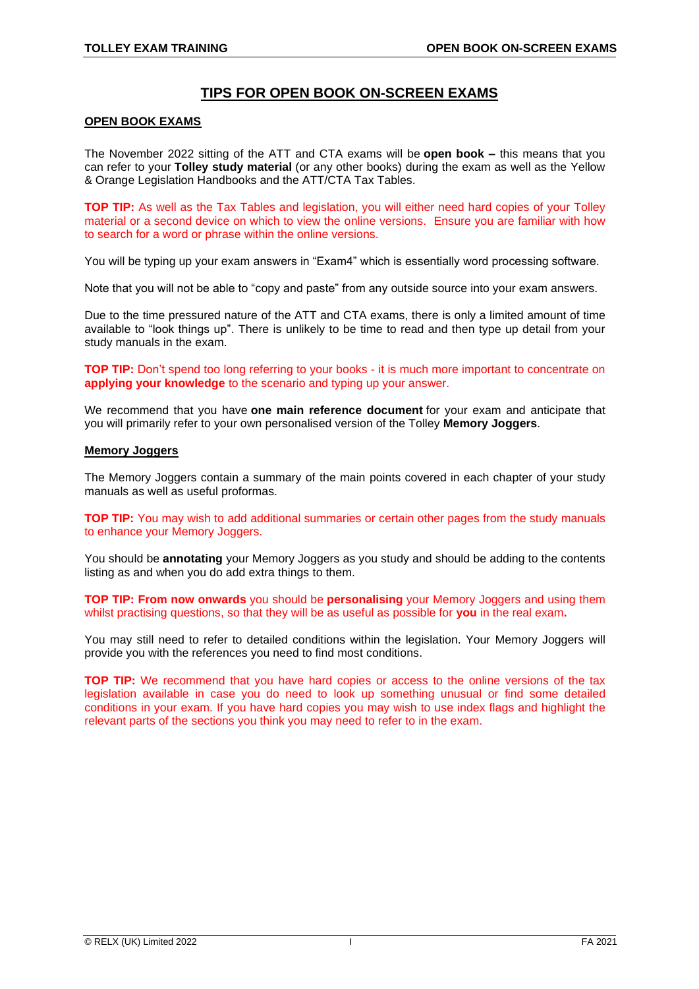# **TIPS FOR OPEN BOOK ON-SCREEN EXAMS**

#### **OPEN BOOK EXAMS**

The November 2022 sitting of the ATT and CTA exams will be **open book –** this means that you can refer to your **Tolley study material** (or any other books) during the exam as well as the Yellow & Orange Legislation Handbooks and the ATT/CTA Tax Tables.

**TOP TIP:** As well as the Tax Tables and legislation, you will either need hard copies of your Tolley material or a second device on which to view the online versions. Ensure you are familiar with how to search for a word or phrase within the online versions.

You will be typing up your exam answers in "Exam4" which is essentially word processing software.

Note that you will not be able to "copy and paste" from any outside source into your exam answers.

Due to the time pressured nature of the ATT and CTA exams, there is only a limited amount of time available to "look things up". There is unlikely to be time to read and then type up detail from your study manuals in the exam.

**TOP TIP:** Don't spend too long referring to your books - it is much more important to concentrate on **applying your knowledge** to the scenario and typing up your answer.

We recommend that you have **one main reference document** for your exam and anticipate that you will primarily refer to your own personalised version of the Tolley **Memory Joggers**.

#### **Memory Joggers**

The Memory Joggers contain a summary of the main points covered in each chapter of your study manuals as well as useful proformas.

**TOP TIP:** You may wish to add additional summaries or certain other pages from the study manuals to enhance your Memory Joggers.

You should be **annotating** your Memory Joggers as you study and should be adding to the contents listing as and when you do add extra things to them.

**TOP TIP: From now onwards** you should be **personalising** your Memory Joggers and using them whilst practising questions, so that they will be as useful as possible for **you** in the real exam**.**

You may still need to refer to detailed conditions within the legislation. Your Memory Joggers will provide you with the references you need to find most conditions.

**TOP TIP:** We recommend that you have hard copies or access to the online versions of the tax legislation available in case you do need to look up something unusual or find some detailed conditions in your exam. If you have hard copies you may wish to use index flags and highlight the relevant parts of the sections you think you may need to refer to in the exam.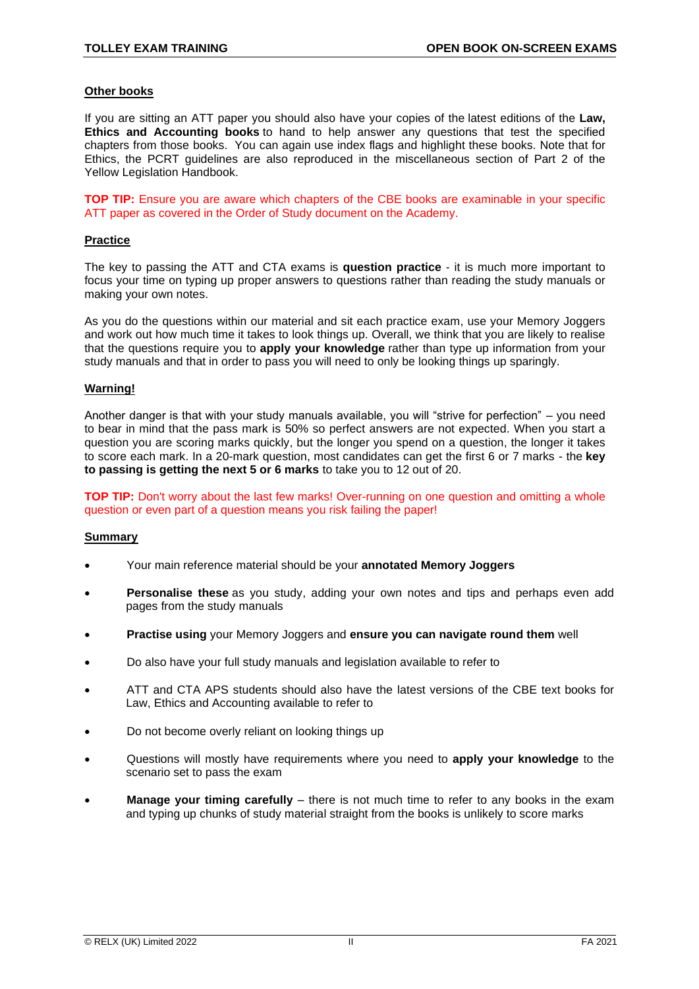#### **Other books**

If you are sitting an ATT paper you should also have your copies of the latest editions of the **Law, Ethics and Accounting books** to hand to help answer any questions that test the specified chapters from those books. You can again use index flags and highlight these books. Note that for Ethics, the PCRT guidelines are also reproduced in the miscellaneous section of Part 2 of the Yellow Legislation Handbook.

**TOP TIP:** Ensure you are aware which chapters of the CBE books are examinable in your specific ATT paper as covered in the Order of Study document on the Academy.

# **Practice**

The key to passing the ATT and CTA exams is **question practice** - it is much more important to focus your time on typing up proper answers to questions rather than reading the study manuals or making your own notes.

As you do the questions within our material and sit each practice exam, use your Memory Joggers and work out how much time it takes to look things up. Overall, we think that you are likely to realise that the questions require you to **apply your knowledge** rather than type up information from your study manuals and that in order to pass you will need to only be looking things up sparingly.

# **Warning!**

Another danger is that with your study manuals available, you will "strive for perfection" – you need to bear in mind that the pass mark is 50% so perfect answers are not expected. When you start a question you are scoring marks quickly, but the longer you spend on a question, the longer it takes to score each mark. In a 20-mark question, most candidates can get the first 6 or 7 marks - the **key to passing is getting the next 5 or 6 marks** to take you to 12 out of 20.

**TOP TIP:** Don't worry about the last few marks! Over-running on one question and omitting a whole question or even part of a question means you risk failing the paper!

#### **Summary**

- Your main reference material should be your **annotated Memory Joggers**
- **Personalise these** as you study, adding your own notes and tips and perhaps even add pages from the study manuals
- **Practise using** your Memory Joggers and **ensure you can navigate round them** well
- Do also have your full study manuals and legislation available to refer to
- ATT and CTA APS students should also have the latest versions of the CBE text books for Law, Ethics and Accounting available to refer to
- Do not become overly reliant on looking things up
- Questions will mostly have requirements where you need to **apply your knowledge** to the scenario set to pass the exam
- **Manage your timing carefully** there is not much time to refer to any books in the exam and typing up chunks of study material straight from the books is unlikely to score marks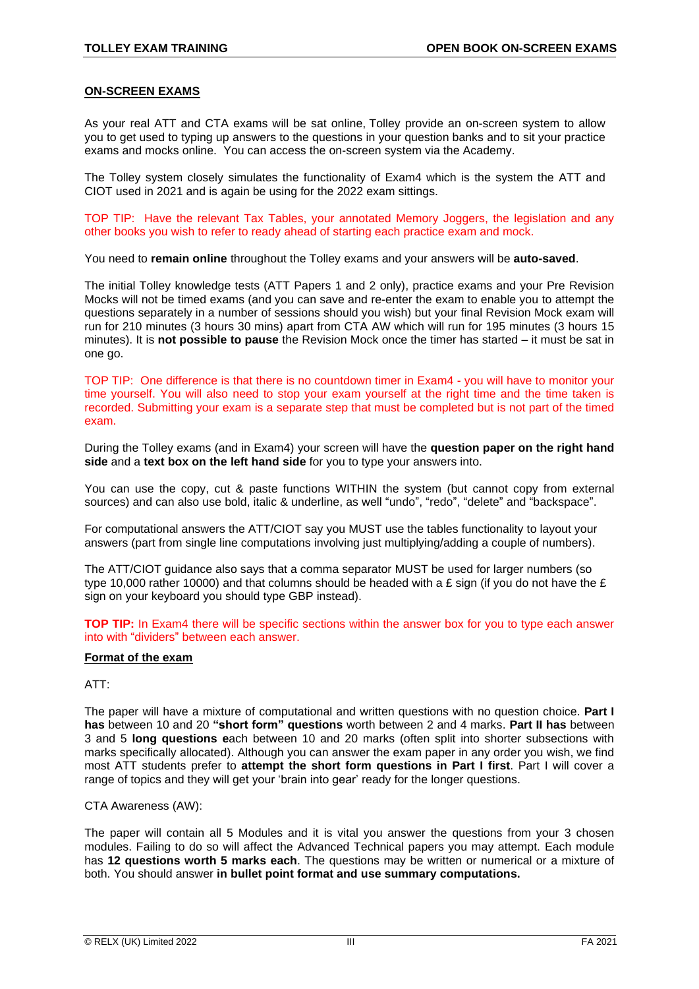#### **ON-SCREEN EXAMS**

As your real ATT and CTA exams will be sat online, Tolley provide an on-screen system to allow you to get used to typing up answers to the questions in your question banks and to sit your practice exams and mocks online. You can access the on-screen system via the Academy.

The Tolley system closely simulates the functionality of Exam4 which is the system the ATT and CIOT used in 2021 and is again be using for the 2022 exam sittings.

TOP TIP: Have the relevant Tax Tables, your annotated Memory Joggers, the legislation and any other books you wish to refer to ready ahead of starting each practice exam and mock.

You need to **remain online** throughout the Tolley exams and your answers will be **auto-saved**.

The initial Tolley knowledge tests (ATT Papers 1 and 2 only), practice exams and your Pre Revision Mocks will not be timed exams (and you can save and re-enter the exam to enable you to attempt the questions separately in a number of sessions should you wish) but your final Revision Mock exam will run for 210 minutes (3 hours 30 mins) apart from CTA AW which will run for 195 minutes (3 hours 15 minutes). It is **not possible to pause** the Revision Mock once the timer has started – it must be sat in one go.

TOP TIP: One difference is that there is no countdown timer in Exam4 - you will have to monitor your time yourself. You will also need to stop your exam yourself at the right time and the time taken is recorded. Submitting your exam is a separate step that must be completed but is not part of the timed exam.

During the Tolley exams (and in Exam4) your screen will have the **question paper on the right hand side** and a **text box on the left hand side** for you to type your answers into.

You can use the copy, cut & paste functions WITHIN the system (but cannot copy from external sources) and can also use bold, italic & underline, as well "undo", "redo", "delete" and "backspace".

For computational answers the ATT/CIOT say you MUST use the tables functionality to layout your answers (part from single line computations involving just multiplying/adding a couple of numbers).

The ATT/CIOT guidance also says that a comma separator MUST be used for larger numbers (so type 10,000 rather 10000) and that columns should be headed with a £ sign (if you do not have the £ sign on your keyboard you should type GBP instead).

**TOP TIP:** In Exam4 there will be specific sections within the answer box for you to type each answer into with "dividers" between each answer.

# **Format of the exam**

# ATT:

The paper will have a mixture of computational and written questions with no question choice. **Part I has** between 10 and 20 **"short form" questions** worth between 2 and 4 marks. **Part II has** between 3 and 5 **long questions e**ach between 10 and 20 marks (often split into shorter subsections with marks specifically allocated). Although you can answer the exam paper in any order you wish, we find most ATT students prefer to **attempt the short form questions in Part I first**. Part I will cover a range of topics and they will get your 'brain into gear' ready for the longer questions.

#### CTA Awareness (AW):

The paper will contain all 5 Modules and it is vital you answer the questions from your 3 chosen modules. Failing to do so will affect the Advanced Technical papers you may attempt. Each module has **12 questions worth 5 marks each**. The questions may be written or numerical or a mixture of both. You should answer **in bullet point format and use summary computations.**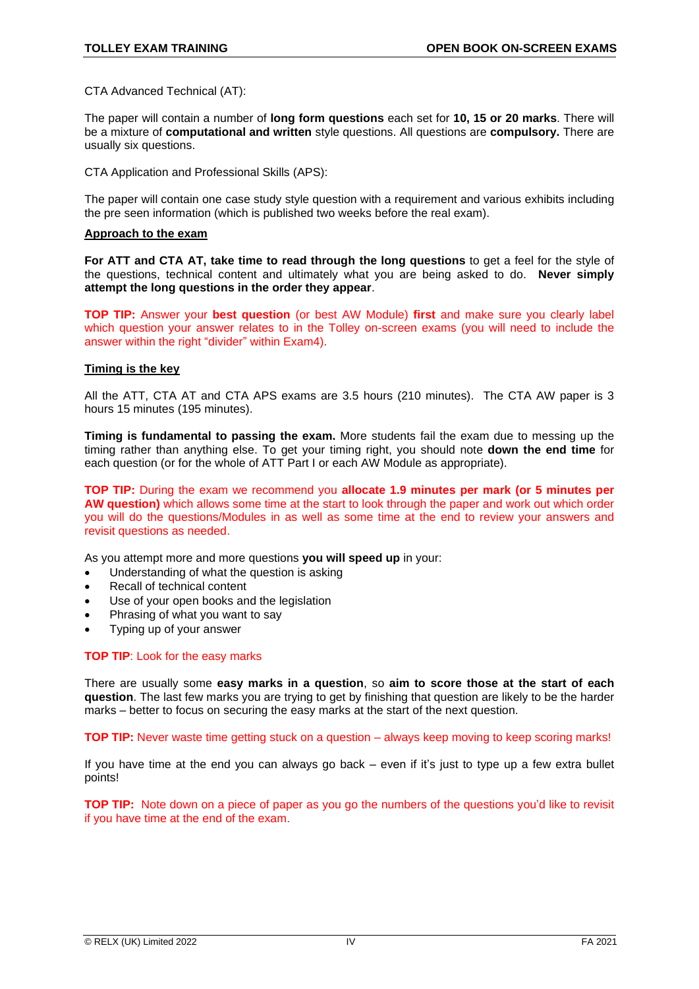CTA Advanced Technical (AT):

The paper will contain a number of **long form questions** each set for **10, 15 or 20 marks**. There will be a mixture of **computational and written** style questions. All questions are **compulsory.** There are usually six questions.

CTA Application and Professional Skills (APS):

The paper will contain one case study style question with a requirement and various exhibits including the pre seen information (which is published two weeks before the real exam).

#### **Approach to the exam**

**For ATT and CTA AT, take time to read through the long questions** to get a feel for the style of the questions, technical content and ultimately what you are being asked to do. **Never simply attempt the long questions in the order they appear**.

**TOP TIP:** Answer your **best question** (or best AW Module) **first** and make sure you clearly label which question your answer relates to in the Tolley on-screen exams (you will need to include the answer within the right "divider" within Exam4).

#### **Timing is the key**

All the ATT, CTA AT and CTA APS exams are 3.5 hours (210 minutes). The CTA AW paper is 3 hours 15 minutes (195 minutes).

**Timing is fundamental to passing the exam.** More students fail the exam due to messing up the timing rather than anything else. To get your timing right, you should note **down the end time** for each question (or for the whole of ATT Part I or each AW Module as appropriate).

**TOP TIP:** During the exam we recommend you **allocate 1.9 minutes per mark (or 5 minutes per AW question)** which allows some time at the start to look through the paper and work out which order you will do the questions/Modules in as well as some time at the end to review your answers and revisit questions as needed.

As you attempt more and more questions **you will speed up** in your:

- Understanding of what the question is asking
- Recall of technical content
- Use of your open books and the legislation
- Phrasing of what you want to say
- Typing up of your answer

#### **TOP TIP**: Look for the easy marks

There are usually some **easy marks in a question**, so **aim to score those at the start of each question**. The last few marks you are trying to get by finishing that question are likely to be the harder marks – better to focus on securing the easy marks at the start of the next question.

**TOP TIP:** Never waste time getting stuck on a question – always keep moving to keep scoring marks!

If you have time at the end you can always go back – even if it's just to type up a few extra bullet points!

**TOP TIP:** Note down on a piece of paper as you go the numbers of the questions you'd like to revisit if you have time at the end of the exam.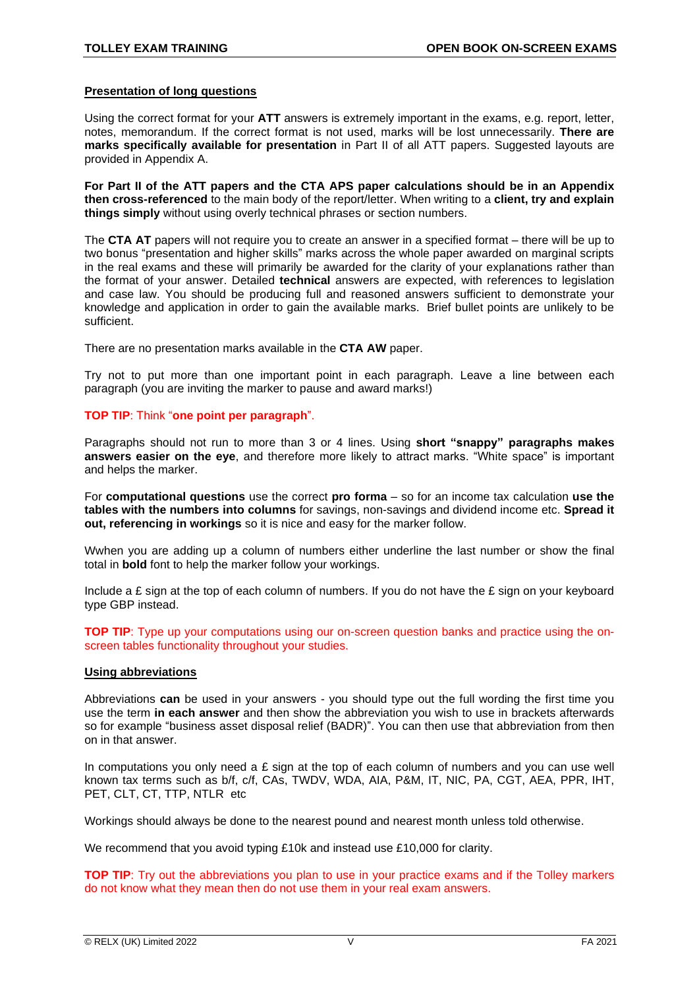#### **Presentation of long questions**

Using the correct format for your **ATT** answers is extremely important in the exams, e.g. report, letter, notes, memorandum. If the correct format is not used, marks will be lost unnecessarily. **There are marks specifically available for presentation** in Part II of all ATT papers. Suggested layouts are provided in Appendix A.

**For Part II of the ATT papers and the CTA APS paper calculations should be in an Appendix then cross-referenced** to the main body of the report/letter. When writing to a **client, try and explain things simply** without using overly technical phrases or section numbers.

The **CTA AT** papers will not require you to create an answer in a specified format – there will be up to two bonus "presentation and higher skills" marks across the whole paper awarded on marginal scripts in the real exams and these will primarily be awarded for the clarity of your explanations rather than the format of your answer. Detailed **technical** answers are expected, with references to legislation and case law. You should be producing full and reasoned answers sufficient to demonstrate your knowledge and application in order to gain the available marks. Brief bullet points are unlikely to be sufficient.

There are no presentation marks available in the **CTA AW** paper.

Try not to put more than one important point in each paragraph. Leave a line between each paragraph (you are inviting the marker to pause and award marks!)

# **TOP TIP**: Think "**one point per paragraph**".

Paragraphs should not run to more than 3 or 4 lines. Using **short "snappy" paragraphs makes answers easier on the eye**, and therefore more likely to attract marks. "White space" is important and helps the marker.

For **computational questions** use the correct **pro forma** – so for an income tax calculation **use the tables with the numbers into columns** for savings, non-savings and dividend income etc. **Spread it out, referencing in workings** so it is nice and easy for the marker follow.

Wwhen you are adding up a column of numbers either underline the last number or show the final total in **bold** font to help the marker follow your workings.

Include a  $E$  sign at the top of each column of numbers. If you do not have the  $E$  sign on your keyboard type GBP instead.

**TOP TIP:** Type up your computations using our on-screen question banks and practice using the onscreen tables functionality throughout your studies.

#### **Using abbreviations**

Abbreviations **can** be used in your answers - you should type out the full wording the first time you use the term **in each answer** and then show the abbreviation you wish to use in brackets afterwards so for example "business asset disposal relief (BADR)". You can then use that abbreviation from then on in that answer.

In computations you only need a  $E$  sign at the top of each column of numbers and you can use well known tax terms such as b/f, c/f, CAs, TWDV, WDA, AIA, P&M, IT, NIC, PA, CGT, AEA, PPR, IHT, PET, CLT, CT, TTP, NTLR etc

Workings should always be done to the nearest pound and nearest month unless told otherwise.

We recommend that you avoid typing £10k and instead use £10,000 for clarity.

**TOP TIP**: Try out the abbreviations you plan to use in your practice exams and if the Tolley markers do not know what they mean then do not use them in your real exam answers.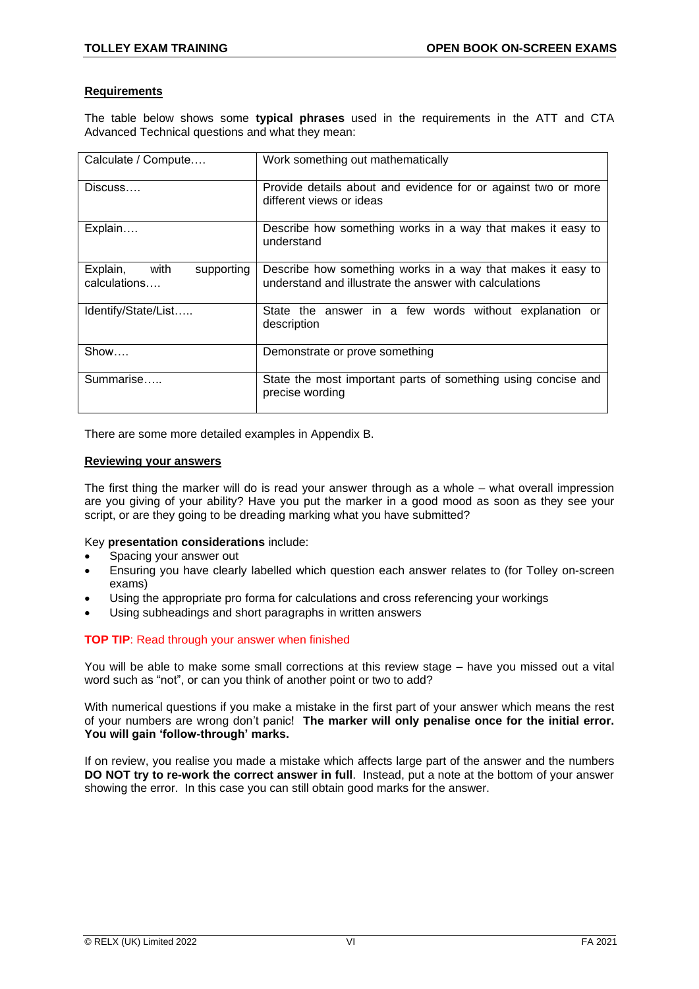# **Requirements**

The table below shows some **typical phrases** used in the requirements in the ATT and CTA Advanced Technical questions and what they mean:

| Calculate / Compute                            | Work something out mathematically                                                                                     |
|------------------------------------------------|-----------------------------------------------------------------------------------------------------------------------|
| Discuss                                        | Provide details about and evidence for or against two or more<br>different views or ideas                             |
| Explain                                        | Describe how something works in a way that makes it easy to<br>understand                                             |
| Explain,<br>with<br>supporting<br>calculations | Describe how something works in a way that makes it easy to<br>understand and illustrate the answer with calculations |
| Identify/State/List                            | State the answer in a few words without explanation or<br>description                                                 |
| Show                                           | Demonstrate or prove something                                                                                        |
| Summarise                                      | State the most important parts of something using concise and<br>precise wording                                      |

There are some more detailed examples in Appendix B.

#### **Reviewing your answers**

The first thing the marker will do is read your answer through as a whole – what overall impression are you giving of your ability? Have you put the marker in a good mood as soon as they see your script, or are they going to be dreading marking what you have submitted?

#### Key **presentation considerations** include:

- Spacing your answer out
- Ensuring you have clearly labelled which question each answer relates to (for Tolley on-screen exams)
- Using the appropriate pro forma for calculations and cross referencing your workings
- Using subheadings and short paragraphs in written answers

#### **TOP TIP**: Read through your answer when finished

You will be able to make some small corrections at this review stage – have you missed out a vital word such as "not", or can you think of another point or two to add?

With numerical questions if you make a mistake in the first part of your answer which means the rest of your numbers are wrong don't panic! **The marker will only penalise once for the initial error. You will gain 'follow-through' marks.**

If on review, you realise you made a mistake which affects large part of the answer and the numbers **DO NOT try to re-work the correct answer in full**. Instead, put a note at the bottom of your answer showing the error. In this case you can still obtain good marks for the answer.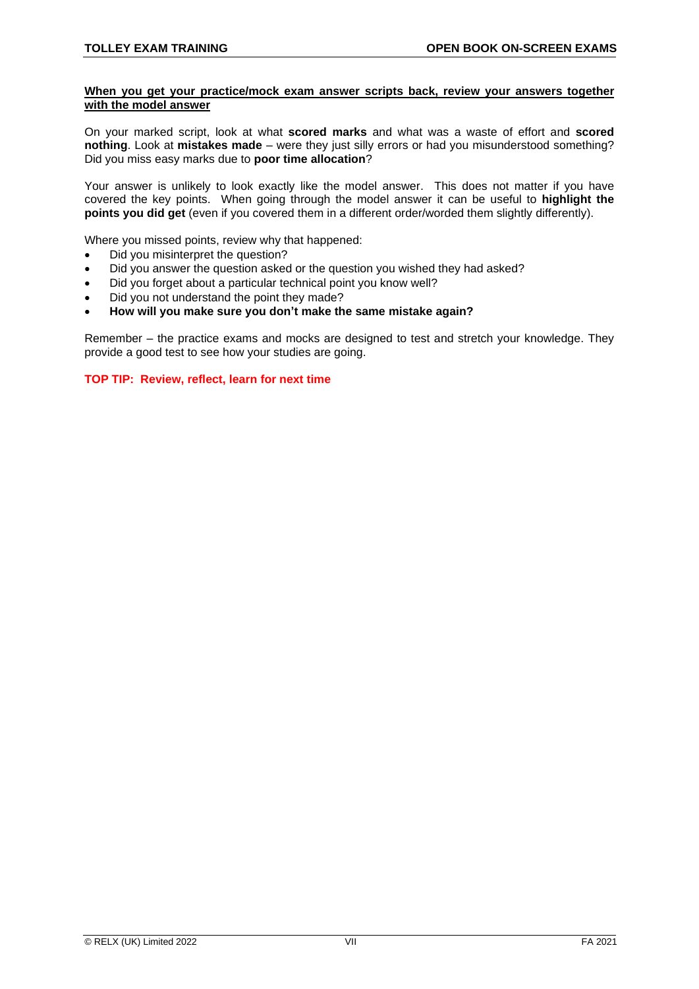### **When you get your practice/mock exam answer scripts back, review your answers together with the model answer**

On your marked script, look at what **scored marks** and what was a waste of effort and **scored nothing**. Look at **mistakes made** – were they just silly errors or had you misunderstood something? Did you miss easy marks due to **poor time allocation**?

Your answer is unlikely to look exactly like the model answer. This does not matter if you have covered the key points. When going through the model answer it can be useful to **highlight the points you did get** (even if you covered them in a different order/worded them slightly differently).

Where you missed points, review why that happened:

- Did you misinterpret the question?
- Did you answer the question asked or the question you wished they had asked?
- Did you forget about a particular technical point you know well?
- Did you not understand the point they made?
- **How will you make sure you don't make the same mistake again?**

Remember – the practice exams and mocks are designed to test and stretch your knowledge. They provide a good test to see how your studies are going.

**TOP TIP: Review, reflect, learn for next time**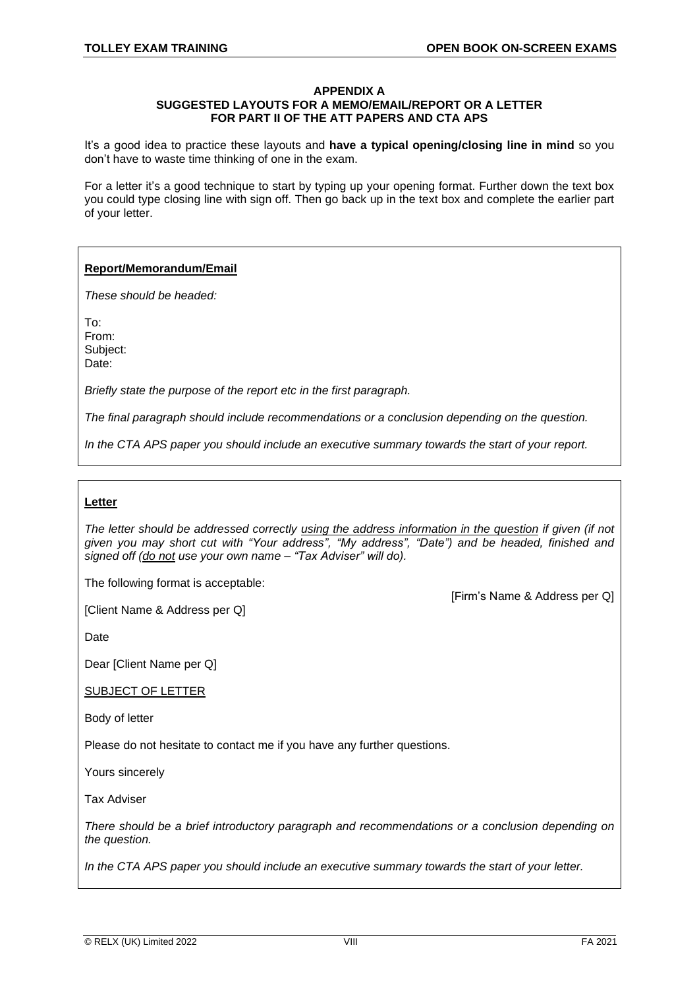#### **APPENDIX A SUGGESTED LAYOUTS FOR A MEMO/EMAIL/REPORT OR A LETTER FOR PART II OF THE ATT PAPERS AND CTA APS**

It's a good idea to practice these layouts and **have a typical opening/closing line in mind** so you don't have to waste time thinking of one in the exam.

For a letter it's a good technique to start by typing up your opening format. Further down the text box you could type closing line with sign off. Then go back up in the text box and complete the earlier part of your letter.

# **Report/Memorandum/Email**

*These should be headed:*

To: From: Subject: Date:

*Briefly state the purpose of the report etc in the first paragraph.*

*The final paragraph should include recommendations or a conclusion depending on the question.*

*In the CTA APS paper you should include an executive summary towards the start of your report.*

# **Letter**

*The letter should be addressed correctly using the address information in the question if given (if not given you may short cut with "Your address", "My address", "Date") and be headed, finished and signed off (do not use your own name – "Tax Adviser" will do).*

The following format is acceptable:

[Client Name & Address per Q]

[Firm's Name & Address per Q]

Date

Dear [Client Name per Q]

SUBJECT OF LETTER

Body of letter

Please do not hesitate to contact me if you have any further questions.

Yours sincerely

Tax Adviser

*There should be a brief introductory paragraph and recommendations or a conclusion depending on the question.*

*In the CTA APS paper you should include an executive summary towards the start of your letter.*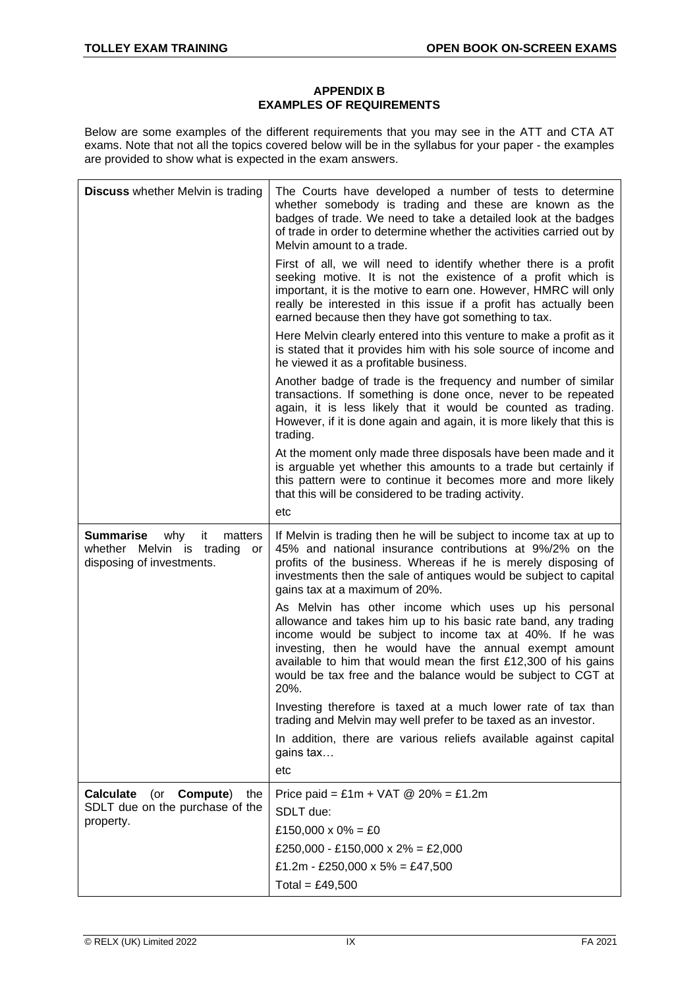# **APPENDIX B EXAMPLES OF REQUIREMENTS**

Below are some examples of the different requirements that you may see in the ATT and CTA AT exams. Note that not all the topics covered below will be in the syllabus for your paper - the examples are provided to show what is expected in the exam answers.

| <b>Discuss</b> whether Melvin is trading                                                                 | The Courts have developed a number of tests to determine<br>whether somebody is trading and these are known as the<br>badges of trade. We need to take a detailed look at the badges<br>of trade in order to determine whether the activities carried out by<br>Melvin amount to a trade.                                                                                               |
|----------------------------------------------------------------------------------------------------------|-----------------------------------------------------------------------------------------------------------------------------------------------------------------------------------------------------------------------------------------------------------------------------------------------------------------------------------------------------------------------------------------|
|                                                                                                          | First of all, we will need to identify whether there is a profit<br>seeking motive. It is not the existence of a profit which is<br>important, it is the motive to earn one. However, HMRC will only<br>really be interested in this issue if a profit has actually been<br>earned because then they have got something to tax.                                                         |
|                                                                                                          | Here Melvin clearly entered into this venture to make a profit as it<br>is stated that it provides him with his sole source of income and<br>he viewed it as a profitable business.                                                                                                                                                                                                     |
|                                                                                                          | Another badge of trade is the frequency and number of similar<br>transactions. If something is done once, never to be repeated<br>again, it is less likely that it would be counted as trading.<br>However, if it is done again and again, it is more likely that this is<br>trading.                                                                                                   |
|                                                                                                          | At the moment only made three disposals have been made and it<br>is arguable yet whether this amounts to a trade but certainly if<br>this pattern were to continue it becomes more and more likely<br>that this will be considered to be trading activity.<br>etc                                                                                                                       |
| <b>Summarise</b><br>why<br>matters<br>it<br>whether Melvin is trading<br>or<br>disposing of investments. | If Melvin is trading then he will be subject to income tax at up to<br>45% and national insurance contributions at 9%/2% on the<br>profits of the business. Whereas if he is merely disposing of<br>investments then the sale of antiques would be subject to capital<br>gains tax at a maximum of 20%.                                                                                 |
|                                                                                                          | As Melvin has other income which uses up his personal<br>allowance and takes him up to his basic rate band, any trading<br>income would be subject to income tax at 40%. If he was<br>investing, then he would have the annual exempt amount<br>available to him that would mean the first £12,300 of his gains<br>would be tax free and the balance would be subject to CGT at<br>20%. |
|                                                                                                          | Investing therefore is taxed at a much lower rate of tax than<br>trading and Melvin may well prefer to be taxed as an investor.                                                                                                                                                                                                                                                         |
|                                                                                                          | In addition, there are various reliefs available against capital<br>gains tax                                                                                                                                                                                                                                                                                                           |
|                                                                                                          | etc                                                                                                                                                                                                                                                                                                                                                                                     |
| <b>Calculate</b><br>(or<br>Compute)<br>the                                                               | Price paid = £1m + VAT $@$ 20% = £1.2m                                                                                                                                                                                                                                                                                                                                                  |
| SDLT due on the purchase of the<br>property.                                                             | SDLT due:                                                                                                                                                                                                                                                                                                                                                                               |
|                                                                                                          | £150,000 x 0% = £0                                                                                                                                                                                                                                                                                                                                                                      |
|                                                                                                          | £250,000 - £150,000 x 2% = £2,000                                                                                                                                                                                                                                                                                                                                                       |
|                                                                                                          | £1.2m - £250,000 x 5% = £47,500                                                                                                                                                                                                                                                                                                                                                         |
|                                                                                                          | Total = £49,500                                                                                                                                                                                                                                                                                                                                                                         |